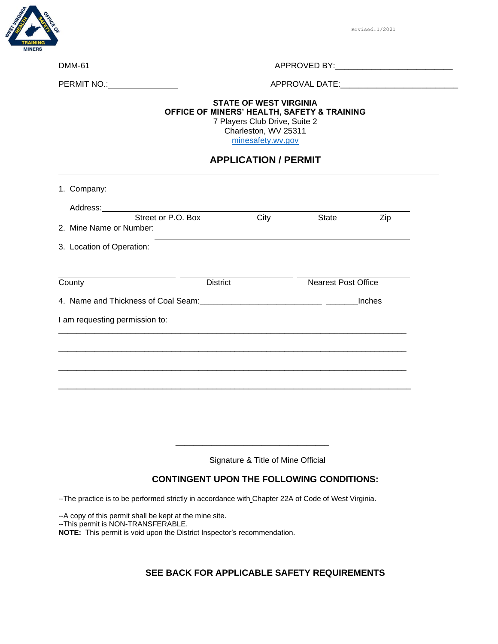

Revised:1/2021

| <b>DMM-61</b> | APPROVED BY |
|---------------|-------------|

PERMIT NO.: APPROVAL DATE:\_\_\_\_\_\_\_\_\_\_\_\_\_\_\_\_\_\_\_\_\_\_\_\_\_\_

#### **STATE OF WEST VIRGINIA OFFICE OF MINERS' HEALTH, SAFETY & TRAINING** 7 Players Club Drive, Suite 2

Charleston, WV 25311

[minesafety.wv.gov](https://minesafety.wv.gov/)

### **APPLICATION / PERMIT**

| 1. Company: <u>and the company</u> company and the company of the company of the company of the company of the company of the company of the company of the company of the company of the company of the company of the company of |                 |      |                            |     |
|------------------------------------------------------------------------------------------------------------------------------------------------------------------------------------------------------------------------------------|-----------------|------|----------------------------|-----|
| Street or P.O. Box                                                                                                                                                                                                                 |                 | City | <b>State</b>               | Zip |
| 2. Mine Name or Number:                                                                                                                                                                                                            |                 |      |                            |     |
| 3. Location of Operation:                                                                                                                                                                                                          |                 |      |                            |     |
|                                                                                                                                                                                                                                    |                 |      |                            |     |
| County                                                                                                                                                                                                                             | <b>District</b> |      | <b>Nearest Post Office</b> |     |
|                                                                                                                                                                                                                                    |                 |      | Inches                     |     |
| I am requesting permission to:                                                                                                                                                                                                     |                 |      |                            |     |
|                                                                                                                                                                                                                                    |                 |      |                            |     |
|                                                                                                                                                                                                                                    |                 |      |                            |     |
|                                                                                                                                                                                                                                    |                 |      |                            |     |
|                                                                                                                                                                                                                                    |                 |      |                            |     |

Signature & Title of Mine Official

\_\_\_\_\_\_\_\_\_\_\_\_\_\_\_\_\_\_\_\_\_\_\_\_\_\_\_\_\_\_\_\_\_\_

## **CONTINGENT UPON THE FOLLOWING CONDITIONS:**

--The practice is to be performed strictly in accordance with Chapter 22A of Code of West Virginia.

--A copy of this permit shall be kept at the mine site.

--This permit is NON-TRANSFERABLE.

**NOTE:** This permit is void upon the District Inspector's recommendation.

## **SEE BACK FOR APPLICABLE SAFETY REQUIREMENTS**